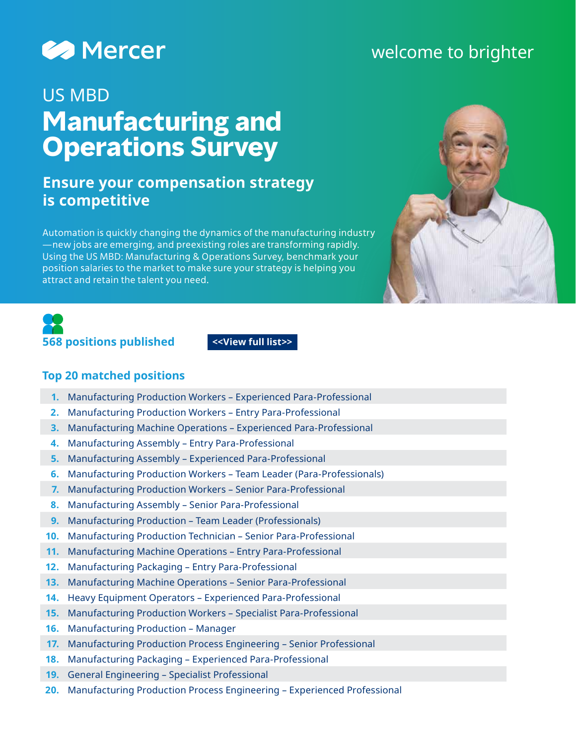

# welcome to brighter

# US MBD **Manufacturing and Operations Survey**

# **Ensure your compensation strategy is competitive**

Automation is quickly changing the dynamics of the manufacturing industry —new jobs are emerging, and preexisting roles are transforming rapidly. Using the US MBD: Manufacturing & Operations Survey, benchmark your position salaries to the market to make sure your strategy is helping you attract and retain the talent you need.





#### **Top 20 matched positions**

- **1.** Manufacturing Production Workers Experienced Para-Professional
- **2.** Manufacturing Production Workers Entry Para-Professional
- **3.** Manufacturing Machine Operations Experienced Para-Professional
- **4.** Manufacturing Assembly Entry Para-Professional
- **5.** Manufacturing Assembly Experienced Para-Professional
- **6.** Manufacturing Production Workers Team Leader (Para-Professionals)
- **7.** Manufacturing Production Workers Senior Para-Professional
- **8.** Manufacturing Assembly Senior Para-Professional
- **9.** Manufacturing Production Team Leader (Professionals)
- **10.** Manufacturing Production Technician Senior Para-Professional
- **11.** Manufacturing Machine Operations Entry Para-Professional
- **12.** Manufacturing Packaging Entry Para-Professional
- **13.** Manufacturing Machine Operations Senior Para-Professional
- **14.** Heavy Equipment Operators Experienced Para-Professional
- **15.** Manufacturing Production Workers Specialist Para-Professional
- **16.** Manufacturing Production Manager
- **17.** Manufacturing Production Process Engineering Senior Professional
- **18.** Manufacturing Packaging Experienced Para-Professional
- **19.** General Engineering Specialist Professional
- **20.** Manufacturing Production Process Engineering Experienced Professional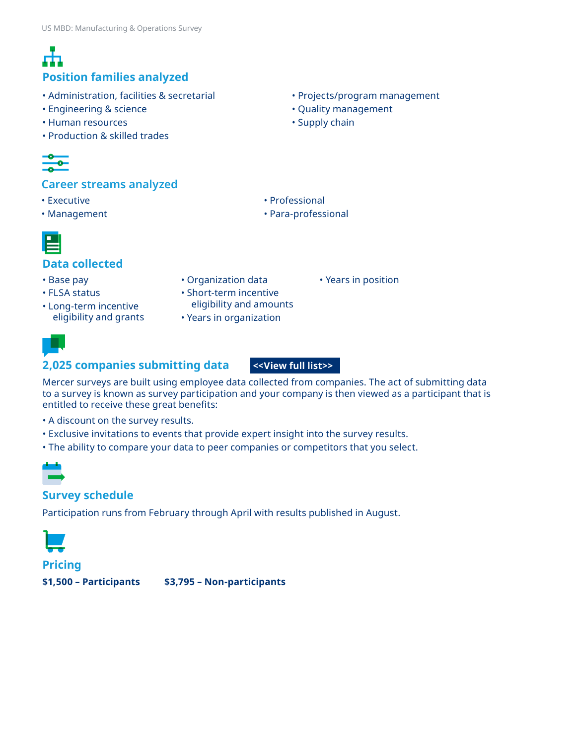### **Position families analyzed**

- Administration, facilities & secretarial
- Engineering & science
- Human resources
- Production & skilled trades

#### **Career streams analyzed**

- Executive
- Management



• Para-professional



#### **Data collected**

- Base pay
- FLSA status
- Long-term incentive eligibility and grants
- Organization data
- Short-term incentive eligibility and amounts
- Years in organization



#### **2,025 companies submitting data**

**[<<View full list>>](https://www.imercer.com/uploads/us/participation/mbd/2021-us-mbd-manufacturing-and-operations-participant-list.xlsx)**

Mercer surveys are built using employee data collected from companies. The act of submitting data to a survey is known as survey participation and your company is then viewed as a participant that is entitled to receive these great benefits:

- A discount on the survey results.
- Exclusive invitations to events that provide expert insight into the survey results.
- The ability to compare your data to peer companies or competitors that you select.



#### **Survey schedule**

Participation runs from February through April with results published in August.



#### **Pricing**

**\$1,500 – Participants \$3,795 – Non-participants**

• Projects/program management

• Years in position

- Quality management
- Supply chain